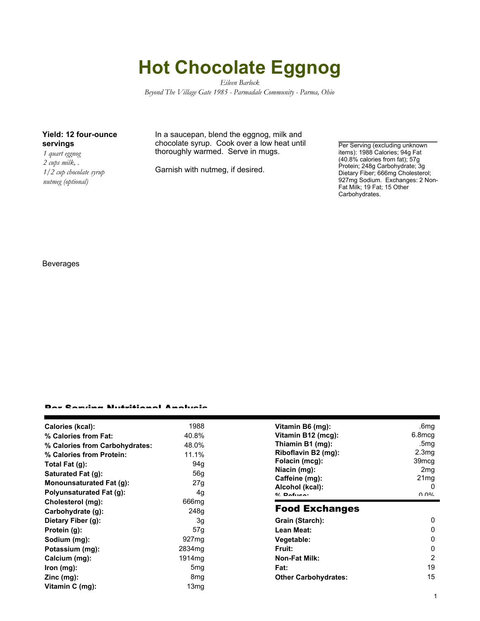# **Hot Chocolate Eggnog**

*Eileen Barlock Beyond The Village Gate 1985 - Parmadale Community - Parma, Ohio*

### **Yield: 12 four-ounce servings**

*1 quart eggnog 2 cups milk, . 1/2 cup chocolate syrup nutmeg (optional)*

In a saucepan, blend the eggnog, milk and chocolate syrup. Cook over a low heat until thoroughly warmed. Serve in mugs.

Garnish with nutmeg, if desired.

Per Serving (excluding unknown items): 1988 Calories; 94g Fat (40.8% calories from fat); 57g Protein; 248g Carbohydrate; 3g Dietary Fiber; 666mg Cholesterol; 927mg Sodium. Exchanges: 2 Non-Fat Milk; 19 Fat; 15 Other Carbohydrates.

Beverages

#### Per Serving Nutritional Analysis

| Calories (kcal):<br>% Calories from Fat: | 1988<br>40.8%      | Vitamin B6 (mg):<br>Vitamin B12 (mcg): | .6mg<br>6.8mcg    |
|------------------------------------------|--------------------|----------------------------------------|-------------------|
|                                          |                    | Thiamin B1 (mg):                       | .5mg              |
| % Calories from Carbohydrates:           | 48.0%              | Riboflavin B2 (mg):                    | 2.3 <sub>mq</sub> |
| % Calories from Protein:                 | 11.1%              |                                        |                   |
| Total Fat $(g)$ :                        | 94g                | Folacin (mcg):                         | 39 <sub>mcg</sub> |
| Saturated Fat (g):                       | 56g                | Niacin (mg):                           | 2 <sub>mg</sub>   |
| Monounsaturated Fat (g):                 | 27g                | Caffeine (mg):                         | 21 <sub>mg</sub>  |
| Polyunsaturated Fat (g):                 | 4g                 | Alcohol (kcal):<br>$0/2$ Pofileon      | 0<br>በ በ%         |
| Cholesterol (mg):                        | 666mg              | <b>Food Exchanges</b>                  |                   |
| Carbohydrate (g):                        | 248g               |                                        |                   |
| Dietary Fiber (g):                       | 3g                 | Grain (Starch):                        | 0                 |
| Protein (g):                             | 57g                | Lean Meat:                             | 0                 |
| Sodium (mg):                             | 927 <sub>mg</sub>  | Vegetable:                             | 0                 |
| Potassium (mg):                          | 2834 <sub>mg</sub> | Fruit:                                 | 0                 |
| Calcium (mg):                            | 1914 <sub>mq</sub> | <b>Non-Fat Milk:</b>                   | 2                 |
| $lron$ (mg):                             | 5 <sub>mg</sub>    | Fat:                                   | 19                |
| $Zinc$ (mg):                             | 8 <sub>mg</sub>    | <b>Other Carbohydrates:</b>            | 15                |
| Vitamin C (mg):                          | 13mg               |                                        |                   |